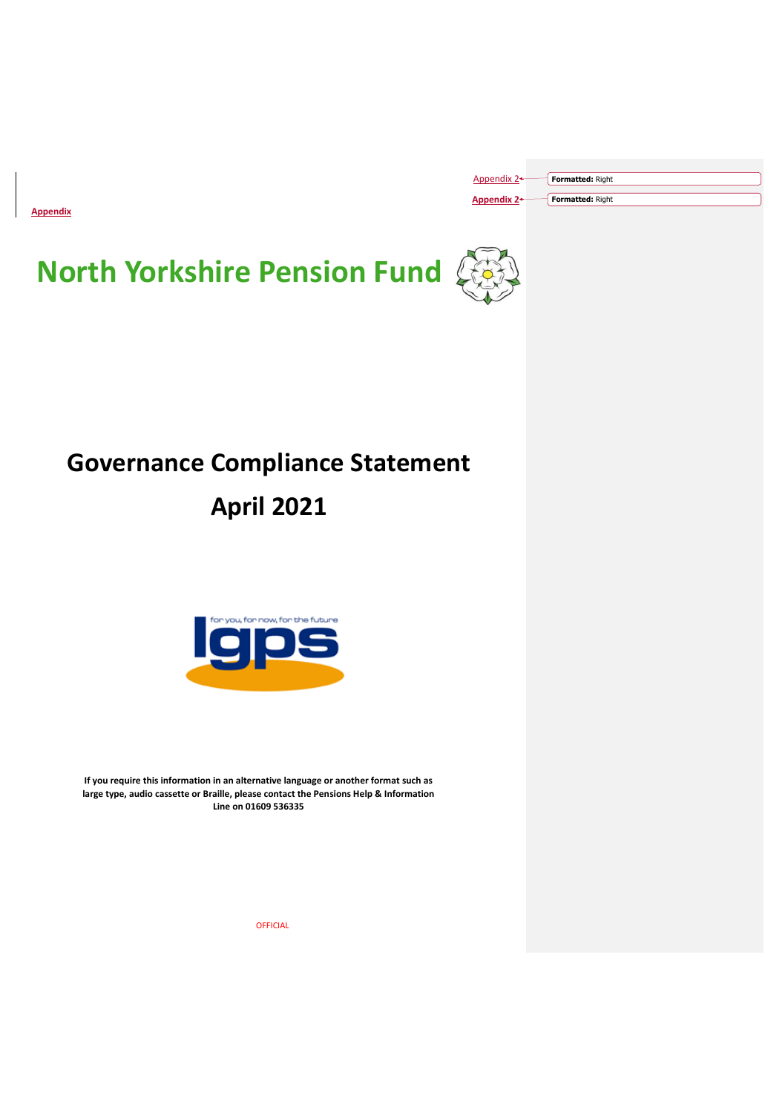**Appendix**

| Appendix 2+ | Formatted: Right        |  |
|-------------|-------------------------|--|
| Appendix 2+ | <b>Formatted: Right</b> |  |





# **Governance Compliance Statement April 2021**



**If you require this information in an alternative language or another format such as large type, audio cassette or Braille, please contact the Pensions Help & Information Line on 01609 536335**

OFFICIAL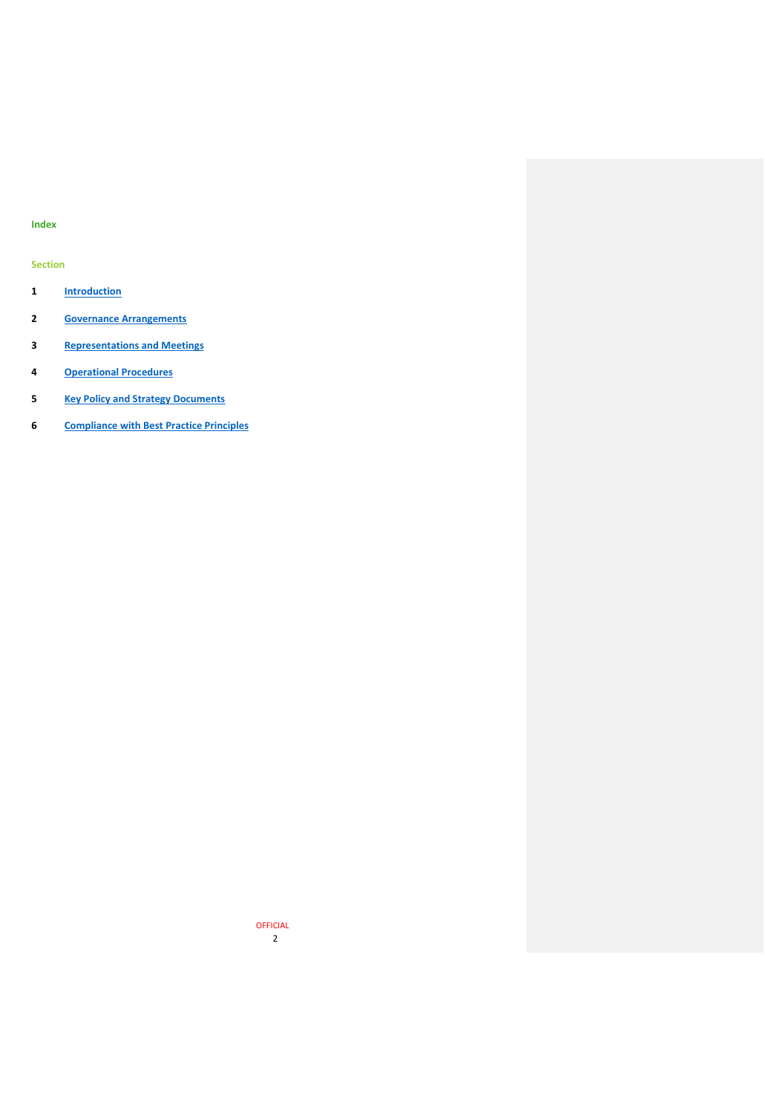# **Index**

# **Section**

- **[Introduction](#page-2-0)**
- **[Governance Arrangements](#page-2-1)**
- **[Representations and Meetings](#page-3-0)**
- **[Operational Procedures](#page-4-0)**
- **[Key Policy and Strategy Documents](#page-5-0)**
- **[Compliance with Best Practice Principles](#page-5-1)**

 OFFICIAL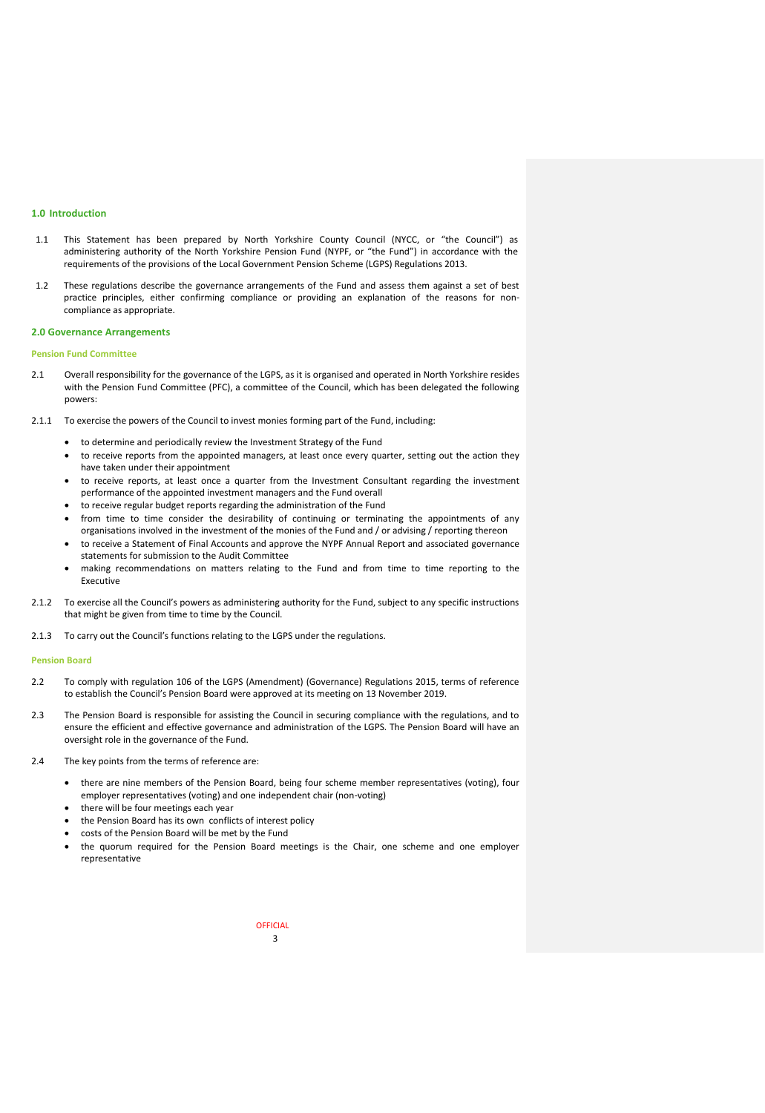## <span id="page-2-0"></span>**1.0 Introduction**

- 1.1 This Statement has been prepared by North Yorkshire County Council (NYCC, or "the Council") as administering authority of the North Yorkshire Pension Fund (NYPF, or "the Fund") in accordance with the requirements of the provisions of the Local Government Pension Scheme (LGPS) Regulations 2013.
- 1.2 These regulations describe the governance arrangements of the Fund and assess them against a set of best practice principles, either confirming compliance or providing an explanation of the reasons for noncompliance as appropriate.

#### <span id="page-2-1"></span>**2.0 Governance Arrangements**

#### **Pension Fund Committee**

- 2.1 Overall responsibility for the governance of the LGPS, as it is organised and operated in North Yorkshire resides with the Pension Fund Committee (PFC), a committee of the Council, which has been delegated the following powers:
- 2.1.1 To exercise the powers of the Council to invest monies forming part of the Fund, including:
	- to determine and periodically review the Investment Strategy of the Fund
	- to receive reports from the appointed managers, at least once every quarter, setting out the action they have taken under their appointment
	- to receive reports, at least once a quarter from the Investment Consultant regarding the investment performance of the appointed investment managers and the Fund overall
	- to receive regular budget reports regarding the administration of the Fund
	- from time to time consider the desirability of continuing or terminating the appointments of any organisations involved in the investment of the monies of the Fund and / or advising / reporting thereon
	- to receive a Statement of Final Accounts and approve the NYPF Annual Report and associated governance statements for submission to the Audit Committee
	- making recommendations on matters relating to the Fund and from time to time reporting to the Executive
- 2.1.2 To exercise all the Council's powers as administering authority for the Fund, subject to any specific instructions that might be given from time to time by the Council.
- 2.1.3 To carry out the Council's functions relating to the LGPS under the regulations.

#### **Pension Board**

- 2.2 To comply with regulation 106 of the LGPS (Amendment) (Governance) Regulations 2015, terms of reference to establish the Council's Pension Board were approved at its meeting on 13 November 2019.
- 2.3 The Pension Board is responsible for assisting the Council in securing compliance with the regulations, and to ensure the efficient and effective governance and administration of the LGPS. The Pension Board will have an oversight role in the governance of the Fund.
- 2.4 The key points from the terms of reference are:
	- there are nine members of the Pension Board, being four scheme member representatives (voting), four employer representatives (voting) and one independent chair (non-voting)
	- there will be four meetings each year
	- the Pension Board has its own conflicts of interest policy
	- costs of the Pension Board will be met by the Fund
	- the quorum required for the Pension Board meetings is the Chair, one scheme and one employer representative

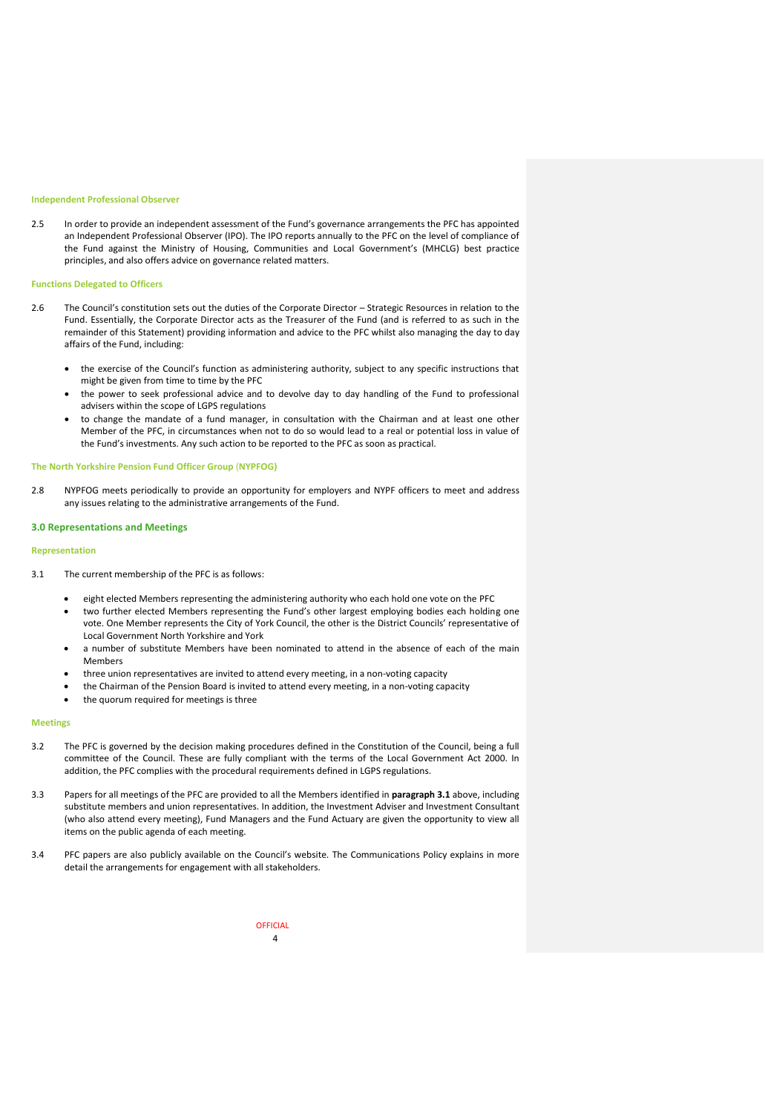#### **Independent Professional Observer**

2.5 In order to provide an independent assessment of the Fund's governance arrangements the PFC has appointed an Independent Professional Observer (IPO). The IPO reports annually to the PFC on the level of compliance of the Fund against the Ministry of Housing, Communities and Local Government's (MHCLG) best practice principles, and also offers advice on governance related matters.

#### **Functions Delegated to Officers**

- 2.6 The Council's constitution sets out the duties of the Corporate Director Strategic Resources in relation to the Fund. Essentially, the Corporate Director acts as the Treasurer of the Fund (and is referred to as such in the remainder of this Statement) providing information and advice to the PFC whilst also managing the day to day affairs of the Fund, including:
	- the exercise of the Council's function as administering authority, subject to any specific instructions that might be given from time to time by the PFC
	- the power to seek professional advice and to devolve day to day handling of the Fund to professional advisers within the scope of LGPS regulations
	- to change the mandate of a fund manager, in consultation with the Chairman and at least one other Member of the PFC, in circumstances when not to do so would lead to a real or potential loss in value of the Fund's investments. Any such action to be reported to the PFC as soon as practical.

## **The North Yorkshire Pension Fund Officer Group** (**NYPFOG)**

2.8 NYPFOG meets periodically to provide an opportunity for employers and NYPF officers to meet and address any issues relating to the administrative arrangements of the Fund.

#### <span id="page-3-0"></span>**3.0 Representations and Meetings**

#### **Representation**

- 3.1 The current membership of the PFC is as follows:
	- eight elected Members representing the administering authority who each hold one vote on the PFC
	- two further elected Members representing the Fund's other largest employing bodies each holding one vote. One Member represents the City of York Council, the other is the District Councils' representative of Local Government North Yorkshire and York
	- a number of substitute Members have been nominated to attend in the absence of each of the main Members
	- three union representatives are invited to attend every meeting, in a non-voting capacity
	- the Chairman of the Pension Board is invited to attend every meeting, in a non-voting capacity
	- the quorum required for meetings is three

#### **Meetings**

- 3.2 The PFC is governed by the decision making procedures defined in the Constitution of the Council, being a full committee of the Council. These are fully compliant with the terms of the Local Government Act 2000. In addition, the PFC complies with the procedural requirements defined in LGPS regulations.
- 3.3 Papers for all meetings of the PFC are provided to all the Members identified in **paragraph 3.1** above, including substitute members and union representatives. In addition, the Investment Adviser and Investment Consultant (who also attend every meeting), Fund Managers and the Fund Actuary are given the opportunity to view all items on the public agenda of each meeting.
- 3.4 PFC papers are also publicly available on the Council's website. The Communications Policy explains in more detail the arrangements for engagement with all stakeholders.

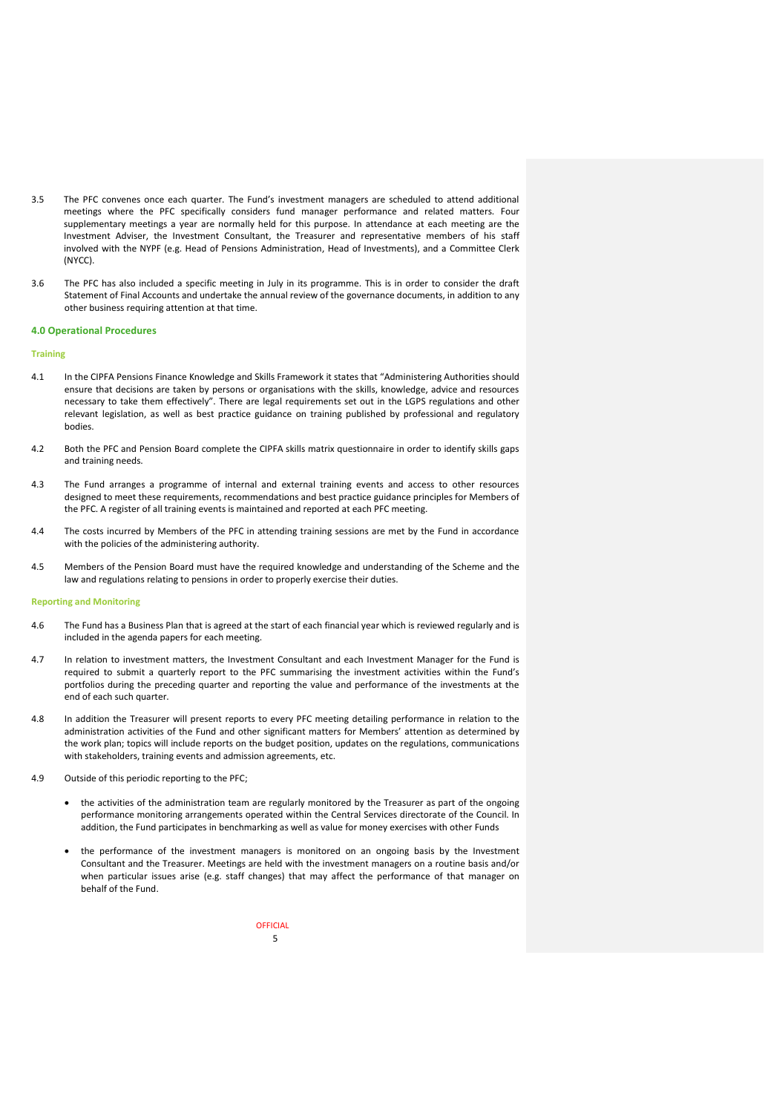- 3.5 The PFC convenes once each quarter. The Fund's investment managers are scheduled to attend additional meetings where the PFC specifically considers fund manager performance and related matters. Four supplementary meetings a year are normally held for this purpose. In attendance at each meeting are the Investment Adviser, the Investment Consultant, the Treasurer and representative members of his staff involved with the NYPF (e.g. Head of Pensions Administration, Head of Investments), and a Committee Clerk (NYCC).
- 3.6 The PFC has also included a specific meeting in July in its programme. This is in order to consider the draft Statement of Final Accounts and undertake the annual review of the governance documents, in addition to any other business requiring attention at that time.

#### <span id="page-4-0"></span>**4.0 Operational Procedures**

#### **Training**

- 4.1 In the CIPFA Pensions Finance Knowledge and Skills Framework it states that "Administering Authorities should ensure that decisions are taken by persons or organisations with the skills, knowledge, advice and resources necessary to take them effectively". There are legal requirements set out in the LGPS regulations and other relevant legislation, as well as best practice guidance on training published by professional and regulatory bodies.
- 4.2 Both the PFC and Pension Board complete the CIPFA skills matrix questionnaire in order to identify skills gaps and training needs.
- 4.3 The Fund arranges a programme of internal and external training events and access to other resources designed to meet these requirements, recommendations and best practice guidance principles for Members of the PFC. A register of all training events is maintained and reported at each PFC meeting.
- 4.4 The costs incurred by Members of the PFC in attending training sessions are met by the Fund in accordance with the policies of the administering authority.
- 4.5 Members of the Pension Board must have the required knowledge and understanding of the Scheme and the law and regulations relating to pensions in order to properly exercise their duties.

#### **Reporting and Monitoring**

- 4.6 The Fund has a Business Plan that is agreed at the start of each financial year which is reviewed regularly and is included in the agenda papers for each meeting.
- 4.7 In relation to investment matters, the Investment Consultant and each Investment Manager for the Fund is required to submit a quarterly report to the PFC summarising the investment activities within the Fund's portfolios during the preceding quarter and reporting the value and performance of the investments at the end of each such quarter.
- 4.8 In addition the Treasurer will present reports to every PFC meeting detailing performance in relation to the administration activities of the Fund and other significant matters for Members' attention as determined by the work plan; topics will include reports on the budget position, updates on the regulations, communications with stakeholders, training events and admission agreements, etc.
- 4.9 Outside of this periodic reporting to the PFC;
	- the activities of the administration team are regularly monitored by the Treasurer as part of the ongoing performance monitoring arrangements operated within the Central Services directorate of the Council. In addition, the Fund participates in benchmarking as well as value for money exercises with other Funds
	- the performance of the investment managers is monitored on an ongoing basis by the Investment Consultant and the Treasurer. Meetings are held with the investment managers on a routine basis and/or when particular issues arise (e.g. staff changes) that may affect the performance of that manager on behalf of the Fund.

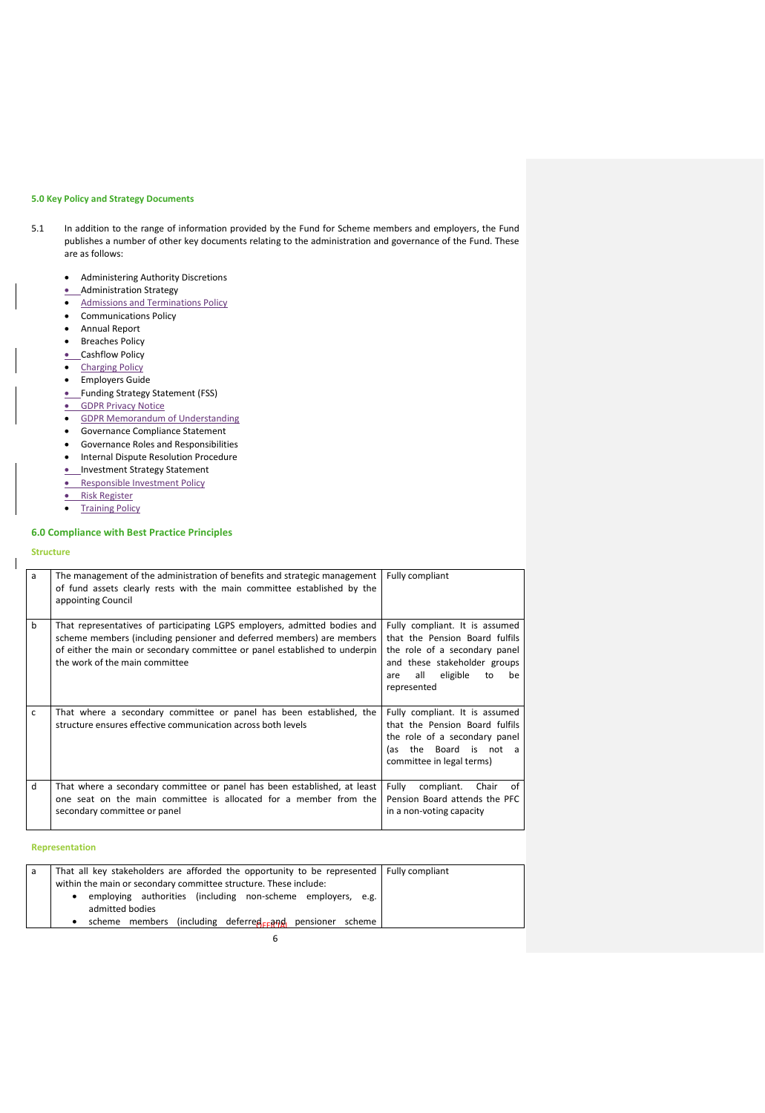# <span id="page-5-0"></span>**5.0 Key Policy and Strategy Documents**

- 5.1 In addition to the range of information provided by the Fund for Scheme members and employers, the Fund publishes a number of other key documents relating to the administration and governance of the Fund. These are as follows:
	- Administering Authority Discretions
	- Administration Strategy
	- Admissions and Terminations Policy
	- **•** Communications Policy
	- Annual Report
	- **•** Breaches Policy
	- Cashflow Policy
	- Charging Policy
	- **•** Employers Guide
	- Funding Strategy Statement (FSS)
	- **GDPR Privacy Notice**
	- **GDPR Memorandum of Understanding**
	- Governance Compliance Statement
	- Governance Roles and Responsibilities
	- **•** Internal Dispute Resolution Procedure
	- Investment Strategy Statement
	- **Responsible Investment Policy**
	- Risk Register
	-
	- **•** Training Policy

# <span id="page-5-1"></span>**6.0 Compliance with Best Practice Principles**

#### **Structure**

 $\overline{\phantom{a}}$ 

| a | The management of the administration of benefits and strategic management<br>of fund assets clearly rests with the main committee established by the<br>appointing Council                                                                                         | Fully compliant                                                                                                                                                                        |
|---|--------------------------------------------------------------------------------------------------------------------------------------------------------------------------------------------------------------------------------------------------------------------|----------------------------------------------------------------------------------------------------------------------------------------------------------------------------------------|
| b | That representatives of participating LGPS employers, admitted bodies and<br>scheme members (including pensioner and deferred members) are members<br>of either the main or secondary committee or panel established to underpin<br>the work of the main committee | Fully compliant. It is assumed<br>that the Pension Board fulfils<br>the role of a secondary panel<br>and these stakeholder groups<br>eligible<br>all<br>to<br>be<br>are<br>represented |
| c | That where a secondary committee or panel has been established, the<br>structure ensures effective communication across both levels                                                                                                                                | Fully compliant. It is assumed<br>that the Pension Board fulfils<br>the role of a secondary panel<br>the Board is not a<br>las.<br>committee in legal terms)                           |
| d | That where a secondary committee or panel has been established, at least<br>one seat on the main committee is allocated for a member from the<br>secondary committee or panel                                                                                      | compliant.<br>Fully<br>Chair<br>of<br>Pension Board attends the PFC<br>in a non-voting capacity                                                                                        |

### **Representation**

| a | That all key stakeholders are afforded the opportunity to be represented   Fully compliant |  |
|---|--------------------------------------------------------------------------------------------|--|
|   | within the main or secondary committee structure. These include:                           |  |
|   | employing authorities (including non-scheme employers, e.g.<br>٠<br>admitted bodies        |  |
|   | (including deferred <sub>EE</sub> and pensioner scheme)<br>scheme members                  |  |
|   |                                                                                            |  |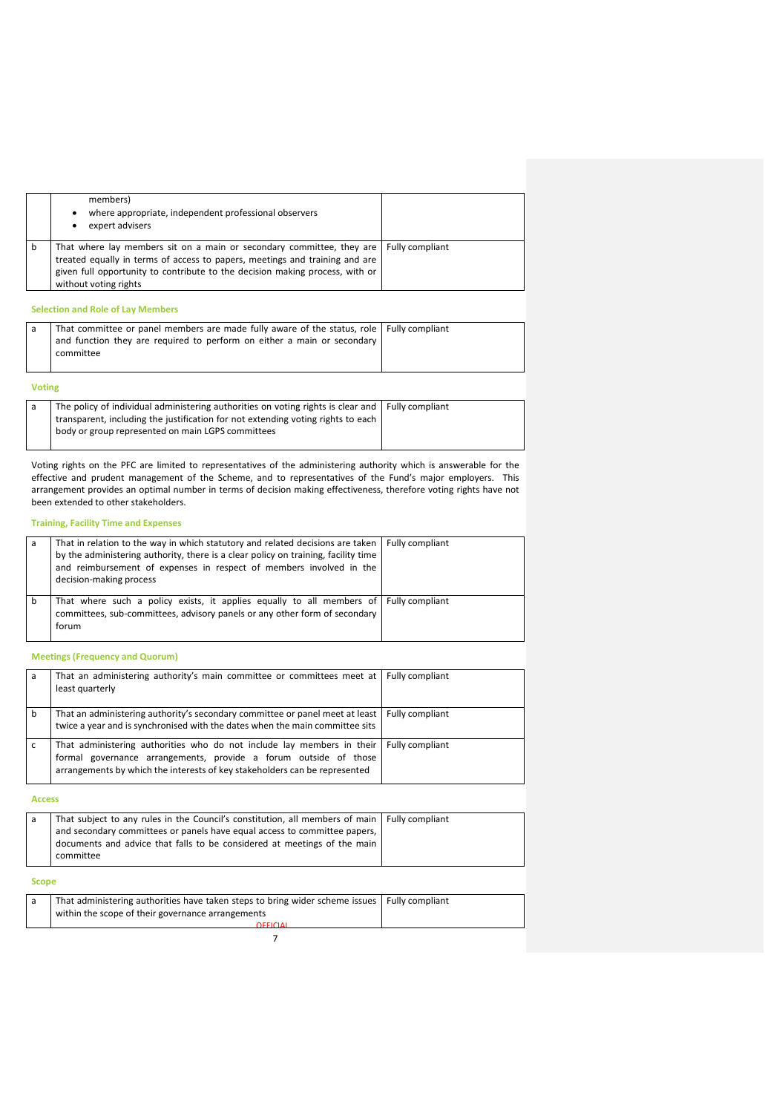|   | members)<br>where appropriate, independent professional observers<br>٠<br>expert advisers                                                                                                                                                                                       |  |
|---|---------------------------------------------------------------------------------------------------------------------------------------------------------------------------------------------------------------------------------------------------------------------------------|--|
| b | That where lay members sit on a main or secondary committee, they are   Fully compliant<br>treated equally in terms of access to papers, meetings and training and are<br>given full opportunity to contribute to the decision making process, with or<br>without voting rights |  |

# **Selection and Role of Lay Members**

| That committee or panel members are made fully aware of the status, role   Fully compliant |  |
|--------------------------------------------------------------------------------------------|--|
| and function they are required to perform on either a main or secondary                    |  |
| committee                                                                                  |  |
|                                                                                            |  |

# **Voting**

| The policy of individual administering authorities on voting rights is clear and   Fully compliant |  |
|----------------------------------------------------------------------------------------------------|--|
| transparent, including the justification for not extending voting rights to each                   |  |
| body or group represented on main LGPS committees                                                  |  |
|                                                                                                    |  |

Voting rights on the PFC are limited to representatives of the administering authority which is answerable for the effective and prudent management of the Scheme, and to representatives of the Fund's major employers. This arrangement provides an optimal number in terms of decision making effectiveness, therefore voting rights have not been extended to other stakeholders.

# **Training, Facility Time and Expenses**

| a | That in relation to the way in which statutory and related decisions are taken  <br>by the administering authority, there is a clear policy on training, facility time<br>and reimbursement of expenses in respect of members involved in the<br>decision-making process | <b>Fully compliant</b> |
|---|--------------------------------------------------------------------------------------------------------------------------------------------------------------------------------------------------------------------------------------------------------------------------|------------------------|
| b | That where such a policy exists, it applies equally to all members of Fully compliant<br>committees, sub-committees, advisory panels or any other form of secondary<br>forum                                                                                             |                        |

## **Meetings (Frequency and Quorum)**

| a | That an administering authority's main committee or committees meet at Fully compliant<br>least quarterly                                                                                                                                  |  |
|---|--------------------------------------------------------------------------------------------------------------------------------------------------------------------------------------------------------------------------------------------|--|
| b | That an administering authority's secondary committee or panel meet at least   Fully compliant<br>twice a year and is synchronised with the dates when the main committee sits                                                             |  |
|   | That administering authorities who do not include lay members in their   Fully compliant<br>formal governance arrangements, provide a forum outside of those<br>arrangements by which the interests of key stakeholders can be represented |  |

**Access**

| That subject to any rules in the Council's constitution, all members of main   Fully compliant |  |
|------------------------------------------------------------------------------------------------|--|
| and secondary committees or panels have equal access to committee papers,                      |  |
| documents and advice that falls to be considered at meetings of the main                       |  |
| committee                                                                                      |  |
|                                                                                                |  |

# **Scope**

| That administering authorities have taken steps to bring wider scheme issues   Fully compliant |  |
|------------------------------------------------------------------------------------------------|--|
| within the scope of their governance arrangements                                              |  |
| OFFICIAL                                                                                       |  |
|                                                                                                |  |